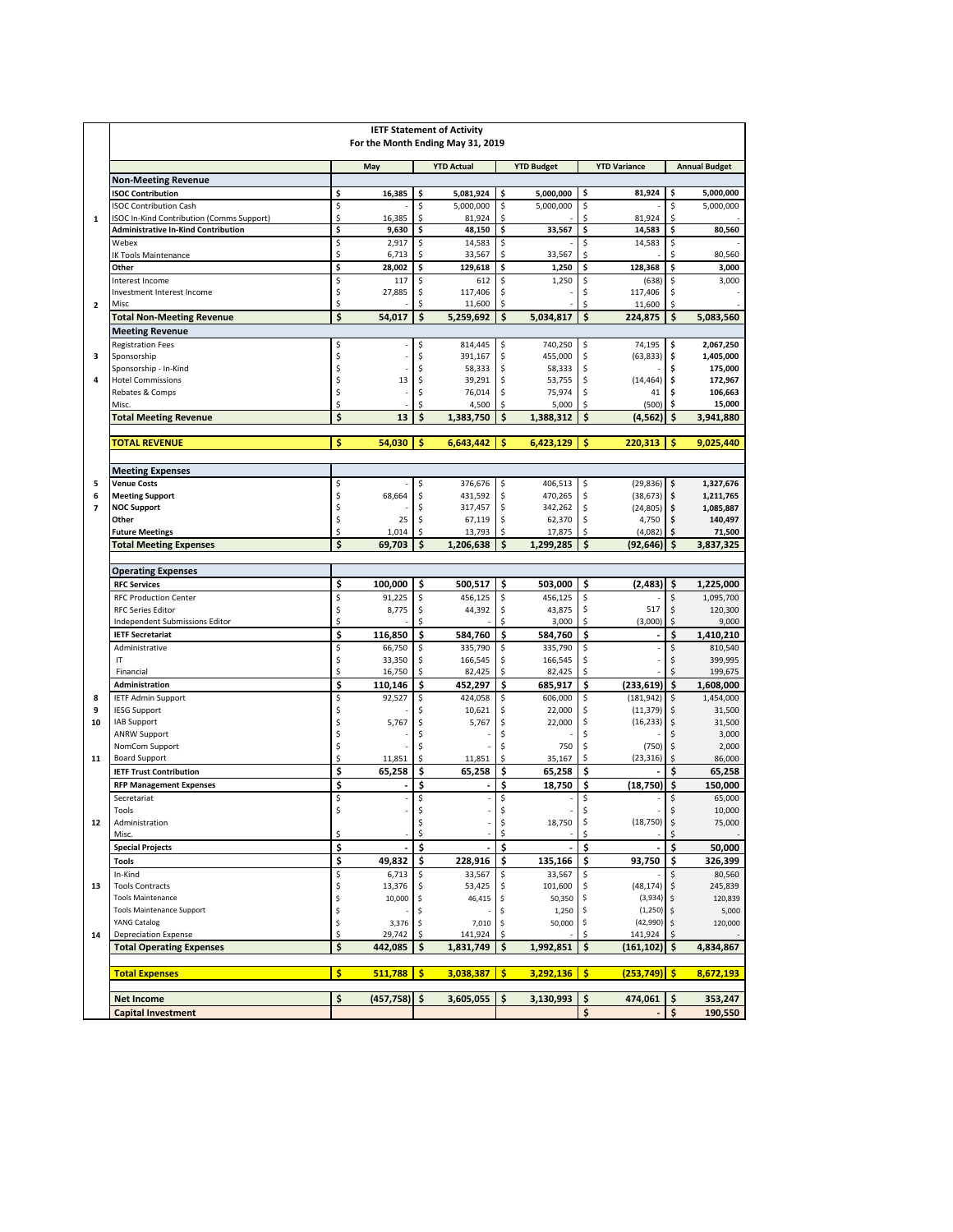|                         | <b>IETF Statement of Activity</b><br>For the Month Ending May 31, 2019     |          |                   |          |                      |          |                     |          |                      |          |                      |
|-------------------------|----------------------------------------------------------------------------|----------|-------------------|----------|----------------------|----------|---------------------|----------|----------------------|----------|----------------------|
|                         |                                                                            |          | May               |          | <b>YTD Actual</b>    |          | <b>YTD Budget</b>   |          | <b>YTD Variance</b>  |          | <b>Annual Budget</b> |
|                         | <b>Non-Meeting Revenue</b>                                                 |          |                   |          |                      |          |                     |          |                      |          |                      |
|                         | <b>ISOC Contribution</b>                                                   | \$       | 16,385            | \$       | 5,081,924            | \$       | 5,000,000           | \$       | 81,924               | \$       | 5,000,000            |
| $\mathbf{1}$            | <b>ISOC Contribution Cash</b><br>ISOC In-Kind Contribution (Comms Support) | \$<br>\$ | 16,385            | \$<br>\$ | 5,000,000<br>81,924  | \$<br>\$ | 5,000,000           | \$<br>\$ | 81,924               | \$<br>Ś  | 5,000,000            |
|                         | <b>Administrative In-Kind Contribution</b>                                 | \$       | 9,630             | \$       | 48,150               | \$       | 33,567              | \$       | 14,583               | \$       | 80,560               |
|                         | Webex                                                                      | \$       | 2,917             | \$       | 14,583               | \$       |                     | \$       | 14,583               | \$       |                      |
|                         | <b>IK Tools Maintenance</b>                                                | \$       | 6,713             | \$       | 33,567               | \$       | 33,567              | \$       |                      | Ś        | 80,560               |
|                         | Other                                                                      | \$       | 28,002            | \$       | 129,618              | \$       | 1,250               | \$       | 128,368              | \$       | 3,000                |
|                         | Interest Income                                                            | \$       | 117               | \$       | 612                  | \$       | 1,250               | \$       | (638)                | \$       | 3,000                |
| $\overline{\mathbf{2}}$ | Investment Interest Income<br>Misc                                         | \$<br>\$ | 27,885            | \$<br>\$ | 117,406<br>11,600    | \$<br>\$ |                     | \$<br>\$ | 117,406<br>11,600    | \$<br>Ŝ. |                      |
|                         | <b>Total Non-Meeting Revenue</b>                                           | \$       | 54,017            | \$       | 5,259,692            | \$       | 5,034,817           | \$       | 224.875              | \$       | 5,083,560            |
|                         | <b>Meeting Revenue</b>                                                     |          |                   |          |                      |          |                     |          |                      |          |                      |
|                         | <b>Registration Fees</b>                                                   | \$       | $\overline{a}$    | \$       | 814,445              | \$       | 740,250             | \$       | 74,195               | \$       | 2,067,250            |
| з                       | Sponsorship                                                                | \$       |                   | \$       | 391,167              | \$       | 455,000             | \$       | (63, 833)            | \$       | 1,405,000            |
|                         | Sponsorship - In-Kind                                                      | \$       |                   | Ś        | 58,333               | \$       | 58,333              | \$       |                      | Ś        | 175,000              |
| 4                       | <b>Hotel Commissions</b>                                                   | \$       | 13                | \$       | 39,291               | \$       | 53,755              | \$       | (14, 464)            | \$       | 172,967              |
|                         | Rebates & Comps                                                            | \$<br>\$ |                   | \$<br>Ś  | 76,014               | \$<br>Ś  | 75,974              | \$<br>\$ | 41                   | \$<br>\$ | 106,663<br>15,000    |
|                         | Misc.<br><b>Total Meeting Revenue</b>                                      | \$       | 13                | Ś        | 4,500<br>1,383,750   | Ś        | 5,000<br>1,388,312  | Ś        | (500)<br>(4, 562)    | Ś        | 3,941,880            |
|                         |                                                                            |          |                   |          |                      |          |                     |          |                      |          |                      |
|                         | <b>TOTAL REVENUE</b>                                                       | \$       | 54,030            | Ś        | 6,643,442            | Ś        | 6,423,129           | Ś        | 220.313              | Ś        | 9,025,440            |
|                         | <b>Meeting Expenses</b>                                                    |          |                   |          |                      |          |                     |          |                      |          |                      |
| 5                       | <b>Venue Costs</b>                                                         | \$       |                   | \$       | 376,676              | \$       | 406,513             | \$       | (29, 836)            | \$       | 1,327,676            |
| 6                       | <b>Meeting Support</b>                                                     | \$       | 68,664            | \$       | 431,592              | \$       | 470,265             | \$       | (38, 673)            | \$       | 1,211,765            |
| $\overline{7}$          | <b>NOC Support</b>                                                         | \$       |                   | \$       | 317,457              | \$       | 342,262             | \$       | (24, 805)            | \$       | 1,085,887            |
|                         | Other                                                                      | \$       | 25                | \$       | 67,119               | \$       | 62,370              | \$       | 4,750                | \$       | 140,497              |
|                         | <b>Future Meetings</b>                                                     | \$<br>\$ | 1,014<br>69,703   | \$<br>\$ | 13,793               | \$<br>\$ | 17,875<br>1,299,285 | \$       | (4,082)              | \$<br>\$ | 71,500               |
|                         | <b>Total Meeting Expenses</b>                                              |          |                   |          | 1,206,638            |          |                     | \$       | (92, 646)            |          | 3,837,325            |
|                         | <b>Operating Expenses</b>                                                  |          |                   |          |                      |          |                     |          |                      |          |                      |
|                         | <b>RFC Services</b>                                                        | \$       | 100,000           | \$       | 500,517              | \$       | 503,000             | \$       | (2,483)              | \$       | 1,225,000            |
|                         | <b>RFC Production Center</b>                                               | \$       | 91,225            | \$       | 456,125              | \$       | 456,125             | \$       |                      | \$       | 1,095,700            |
|                         | <b>RFC Series Editor</b>                                                   | \$       | 8,775             | \$       | 44,392               | \$       | 43,875              | \$       | 517                  | \$       | 120,300              |
|                         | Independent Submissions Editor                                             | \$       |                   | Ś        |                      | Ś        | 3,000               | \$       | (3,000)              | \$       | 9,000                |
|                         | <b>IETF Secretariat</b>                                                    | \$       | 116,850           | \$       | 584,760              | \$       | 584,760             | \$       |                      | \$       | 1,410,210            |
|                         | Administrative<br>IT                                                       | \$<br>\$ | 66,750<br>33,350  | \$<br>\$ | 335,790<br>166,545   | \$<br>\$ | 335,790<br>166,545  | \$<br>\$ |                      | \$<br>\$ | 810,540<br>399,995   |
|                         | Financial                                                                  | \$       | 16,750            | \$       | 82,425               | \$       | 82,425              | \$       |                      | \$       | 199,675              |
|                         | <b>Administration</b>                                                      | \$       | 110,146           | \$       | 452,297              | \$       | 685,917             | \$       | (233, 619)           | \$       | 1,608,000            |
| 8                       | <b>IETF Admin Support</b>                                                  | \$       | 92,527            | \$       | 424,058              | \$       | 606,000             | \$       | (181, 942)           | \$       | 1,454,000            |
| 9                       | <b>IESG Support</b>                                                        | \$       |                   | \$       | 10,621               | \$       | 22,000              | \$       | (11, 379)            | \$       | 31,500               |
| 10                      | IAB Support                                                                | \$       | 5,767             | \$       | 5,767                | \$       | 22,000              | \$       | (16, 233)            | \$       | 31,500               |
|                         | <b>ANRW Support</b><br>NomCom Support                                      | \$<br>\$ |                   | \$       |                      | \$       | 750                 | \$<br>\$ | (750)                | \$       | 3,000<br>2,000       |
| 11                      | <b>Board Support</b>                                                       | \$       | 11,851            | \$       | 11,851               | \$       | 35,167              | \$       | (23, 316)            | \$       | 86,000               |
|                         | <b>IETF Trust Contribution</b>                                             | \$       | 65,258            | \$       | 65,258               | \$       | 65,258              | \$       |                      | \$       | 65,258               |
|                         | <b>RFP Management Expenses</b>                                             | \$       |                   | \$       |                      | \$       | 18,750              | \$       | (18, 750)            | \$       | 150,000              |
|                         | Secretariat                                                                | \$       |                   | \$       |                      | \$       |                     | \$       |                      | \$       | 65,000               |
|                         | Tools                                                                      | Ś        |                   | \$       |                      | Ś        |                     | \$       |                      | Ś        | 10,000               |
| 12                      | Administration                                                             |          |                   | \$       |                      | \$       | 18,750              | \$       | (18, 750)            | \$       | 75,000               |
|                         | Misc.<br><b>Special Projects</b>                                           | \$<br>\$ |                   | \$<br>\$ |                      | \$<br>\$ |                     | \$<br>\$ |                      | \$<br>\$ | 50,000               |
|                         | <b>Tools</b>                                                               | \$       | 49,832            | \$       | 228,916              | \$       | 135,166             | \$       | 93,750               | \$       | 326,399              |
|                         | In-Kind                                                                    | \$       | 6,713             | \$       | 33,567               | \$       | 33,567              |          |                      |          | 80,560               |
| 13                      | <b>Tools Contracts</b>                                                     | \$       | 13,376            | \$       | 53,425               | \$       | 101,600             | \$       | (48, 174)            | \$       | 245,839              |
|                         | <b>Tools Maintenance</b>                                                   | \$       | 10,000            | \$       | 46,415               | \$       | 50,350              |          | (3,934)              | \$       | 120,839              |
|                         | <b>Tools Maintenance Support</b>                                           | \$       |                   | \$       |                      | \$       | 1,250               | \$       | (1, 250)             | \$       | 5,000                |
|                         | YANG Catalog                                                               | \$       | 3,376             | \$       | 7,010                | \$       | 50,000              | \$.      | (42,990)             | \$       | 120,000              |
| 14                      | <b>Depreciation Expense</b><br><b>Total Operating Expenses</b>             | \$<br>\$ | 29,742<br>442,085 | \$<br>\$ | 141,924<br>1,831,749 | Ŝ.<br>\$ | 1,992,851           | \$<br>\$ | 141,924<br>(161,102) | \$.      | 4,834,867            |
|                         |                                                                            |          |                   |          |                      |          |                     |          |                      |          |                      |
|                         | <b>Total Expenses</b>                                                      | \$       | 511,788           | \$       | 3,038,387            | \$       | 3,292,136           | \$       | (253,749)            | \$       | 8,672,193            |
|                         | <b>Net Income</b>                                                          | \$       | $(457, 758)$ \$   |          | 3,605,055            | \$       | 3,130,993           | \$       | 474,061              | \$       | 353,247              |
|                         | <b>Capital Investment</b>                                                  |          |                   |          |                      |          |                     | \$       |                      | \$       | 190,550              |